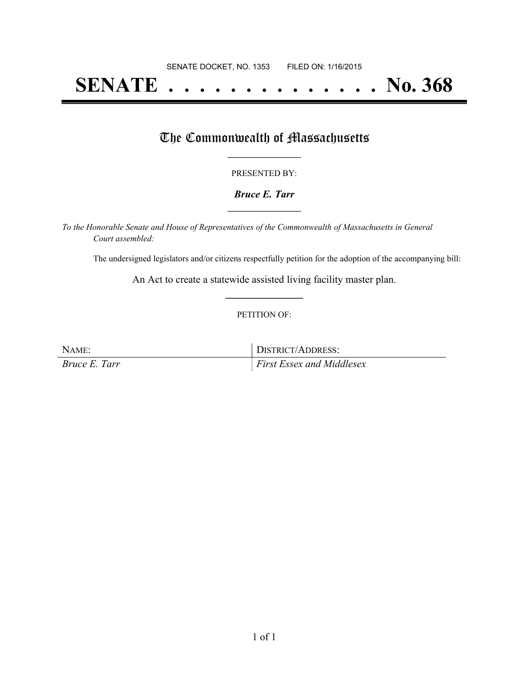# **SENATE . . . . . . . . . . . . . . No. 368**

## The Commonwealth of Massachusetts

#### PRESENTED BY:

#### *Bruce E. Tarr* **\_\_\_\_\_\_\_\_\_\_\_\_\_\_\_\_\_**

*To the Honorable Senate and House of Representatives of the Commonwealth of Massachusetts in General Court assembled:*

The undersigned legislators and/or citizens respectfully petition for the adoption of the accompanying bill:

An Act to create a statewide assisted living facility master plan. **\_\_\_\_\_\_\_\_\_\_\_\_\_\_\_**

#### PETITION OF:

NAME: DISTRICT/ADDRESS: *Bruce E. Tarr First Essex and Middlesex*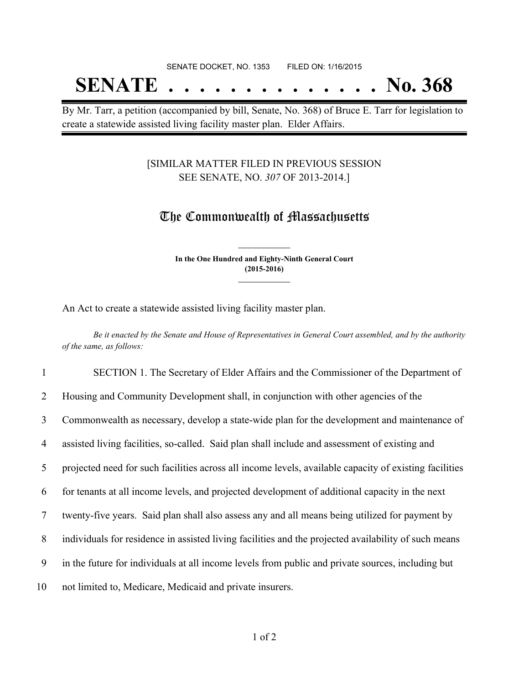# SENATE DOCKET, NO. 1353 FILED ON: 1/16/2015 **SENATE . . . . . . . . . . . . . . No. 368**

By Mr. Tarr, a petition (accompanied by bill, Senate, No. 368) of Bruce E. Tarr for legislation to create a statewide assisted living facility master plan. Elder Affairs.

#### [SIMILAR MATTER FILED IN PREVIOUS SESSION SEE SENATE, NO. *307* OF 2013-2014.]

## The Commonwealth of Massachusetts

**In the One Hundred and Eighty-Ninth General Court (2015-2016) \_\_\_\_\_\_\_\_\_\_\_\_\_\_\_**

**\_\_\_\_\_\_\_\_\_\_\_\_\_\_\_**

An Act to create a statewide assisted living facility master plan.

Be it enacted by the Senate and House of Representatives in General Court assembled, and by the authority *of the same, as follows:*

 SECTION 1. The Secretary of Elder Affairs and the Commissioner of the Department of Housing and Community Development shall, in conjunction with other agencies of the Commonwealth as necessary, develop a state-wide plan for the development and maintenance of assisted living facilities, so-called. Said plan shall include and assessment of existing and projected need for such facilities across all income levels, available capacity of existing facilities for tenants at all income levels, and projected development of additional capacity in the next twenty-five years. Said plan shall also assess any and all means being utilized for payment by individuals for residence in assisted living facilities and the projected availability of such means in the future for individuals at all income levels from public and private sources, including but not limited to, Medicare, Medicaid and private insurers.